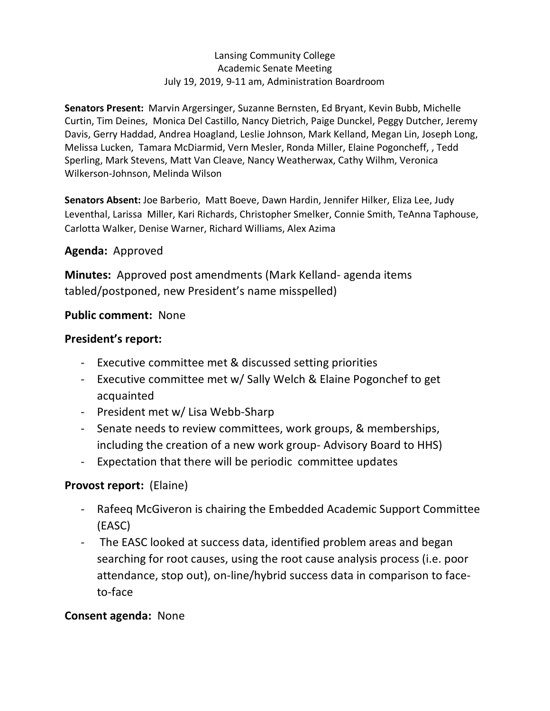## Lansing Community College Academic Senate Meeting July 19, 2019, 9-11 am, Administration Boardroom

 **Senators Present:** Marvin Argersinger, Suzanne Bernsten, Ed Bryant, Kevin Bubb, Michelle Curtin, Tim Deines, Monica Del Castillo, Nancy Dietrich, Paige Dunckel, Peggy Dutcher, Jeremy Davis, Gerry Haddad, Andrea Hoagland, Leslie Johnson, Mark Kelland, Megan Lin, Joseph Long, Melissa Lucken, Tamara McDiarmid, Vern Mesler, Ronda Miller, Elaine Pogoncheff, , Tedd Sperling, Mark Stevens, Matt Van Cleave, Nancy Weatherwax, Cathy Wilhm, Veronica Wilkerson-Johnson, Melinda Wilson

 **Senators Absent:** Joe Barberio, Matt Boeve, Dawn Hardin, Jennifer Hilker, Eliza Lee, Judy Leventhal, Larissa Miller, Kari Richards, Christopher Smelker, Connie Smith, TeAnna Taphouse, Carlotta Walker, Denise Warner, Richard Williams, Alex Azima

## **Agenda:** Approved

 **Minutes:** Approved post amendments (Mark Kelland- agenda items tabled/postponed, new President's name misspelled)

## **Public comment:** None

## **President's report:**

- Executive committee met & discussed setting priorities
- - Executive committee met w/ Sally Welch & Elaine Pogonchef to get acquainted
- President met w/ Lisa Webb-Sharp
- - Senate needs to review committees, work groups, & memberships, including the creation of a new work group- Advisory Board to HHS)
- Expectation that there will be periodic committee updates

## **Provost report:** (Elaine)

- - Rafeeq McGiveron is chairing the Embedded Academic Support Committee (EASC)
- - The EASC looked at success data, identified problem areas and began searching for root causes, using the root cause analysis process (i.e. poor attendance, stop out), on-line/hybrid success data in comparison to faceto-face

## **Consent agenda:** None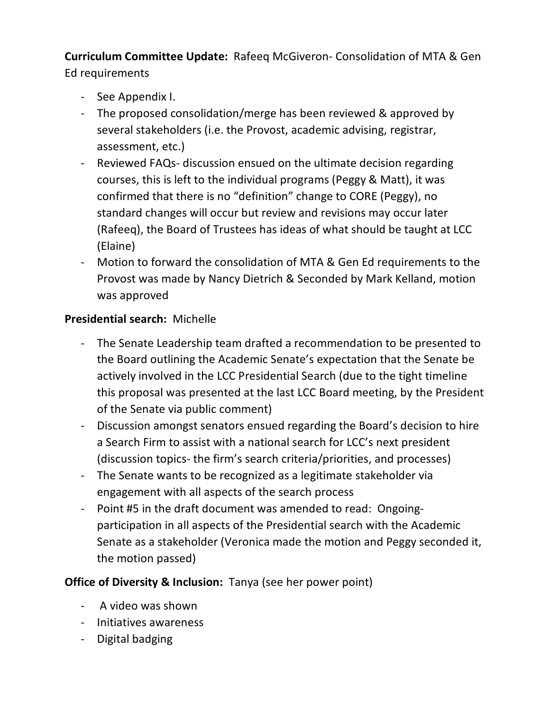**Curriculum Committee Update:** Rafeeq McGiveron- Consolidation of MTA & Gen Ed requirements

- See Appendix I.
- - The proposed consolidation/merge has been reviewed & approved by several stakeholders (i.e. the Provost, academic advising, registrar, assessment, etc.)
- courses, this is left to the individual programs (Peggy & Matt), it was confirmed that there is no "definition" change to CORE (Peggy), no standard changes will occur but review and revisions may occur later (Rafeeq), the Board of Trustees has ideas of what should be taught at LCC - Reviewed FAQs- discussion ensued on the ultimate decision regarding (Elaine)
- - Motion to forward the consolidation of MTA & Gen Ed requirements to the Provost was made by Nancy Dietrich & Seconded by Mark Kelland, motion was approved

## **Presidential search:** Michelle

- - The Senate Leadership team drafted a recommendation to be presented to the Board outlining the Academic Senate's expectation that the Senate be actively involved in the LCC Presidential Search (due to the tight timeline this proposal was presented at the last LCC Board meeting, by the President of the Senate via public comment)
- - Discussion amongst senators ensued regarding the Board's decision to hire a Search Firm to assist with a national search for LCC's next president (discussion topics- the firm's search criteria/priorities, and processes)
- - The Senate wants to be recognized as a legitimate stakeholder via engagement with all aspects of the search process
- - Point #5 in the draft document was amended to read: Ongoing- participation in all aspects of the Presidential search with the Academic Senate as a stakeholder (Veronica made the motion and Peggy seconded it, the motion passed)

**Office of Diversity & Inclusion:** Tanya (see her power point)

- A video was shown
- Initiatives awareness
- Digital badging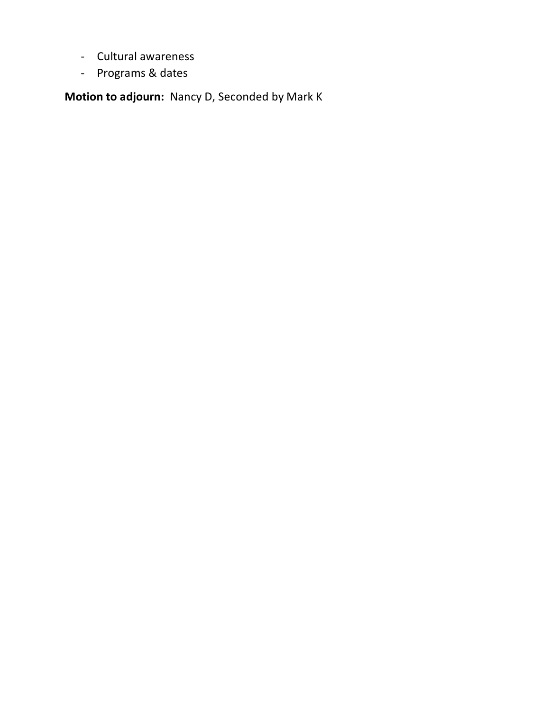- Cultural awareness
- Programs & dates

 **Motion to adjourn:** Nancy D, Seconded by Mark K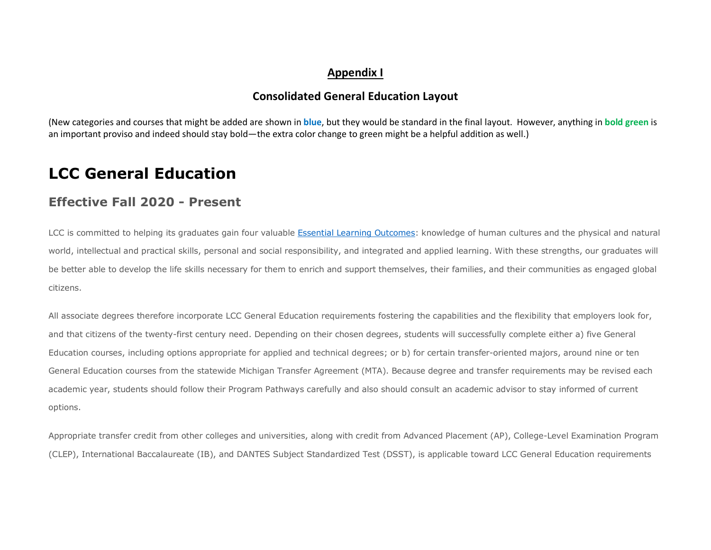### **Appendix I**

## **Consolidated General Education Layout**

 (New categories and courses that might be added are shown in **blue**, but they would be standard in the final layout. However, anything in **bold green** is an important proviso and indeed should stay bold—the extra color change to green might be a helpful addition as well.)

## **LCC General Education**

## **Effective Fall 2020 - Present**

LCC is committed to helping its graduates gain four valuable Essential Learning Outcomes: knowledge of human cultures and the physical and natural world, intellectual and practical skills, personal and social responsibility, and integrated and applied learning. With these strengths, our graduates will be better able to develop the life skills necessary for them to enrich and support themselves, their families, and their communities as engaged global citizens.

 All associate degrees therefore incorporate LCC General Education requirements fostering the capabilities and the flexibility that employers look for, and that citizens of the twenty-first century need. Depending on their chosen degrees, students will successfully complete either a) five General Education courses, including options appropriate for applied and technical degrees; or b) for certain transfer-oriented majors, around nine or ten General Education courses from the statewide Michigan Transfer Agreement (MTA). Because degree and transfer requirements may be revised each academic year, students should follow their Program Pathways carefully and also should consult an academic advisor to stay informed of current options.

 Appropriate transfer credit from other colleges and universities, along with credit from Advanced Placement (AP), College-Level Examination Program (CLEP), International Baccalaureate (IB), and DANTES Subject Standardized Test (DSST), is applicable toward LCC General Education requirements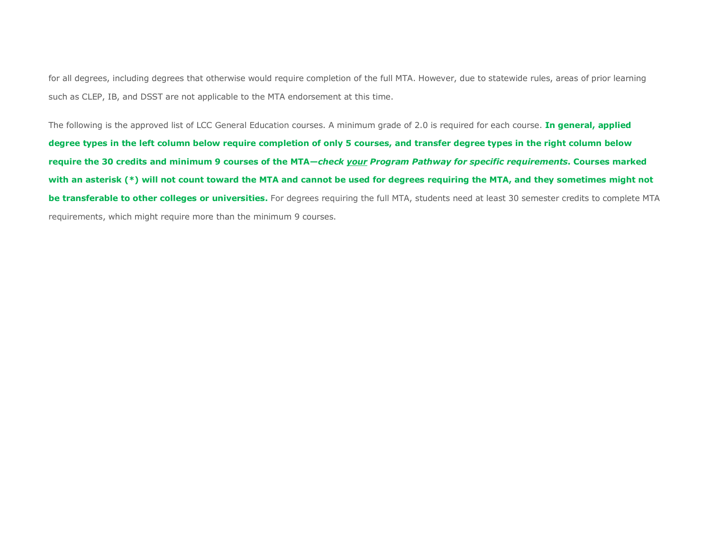for all degrees, including degrees that otherwise would require completion of the full MTA. However, due to statewide rules, areas of prior learning such as CLEP, IB, and DSST are not applicable to the MTA endorsement at this time.

 The following is the approved list of LCC General Education courses. A minimum grade of 2.0 is required for each course. **In general, applied degree types in the left column below require completion of only 5 courses, and transfer degree types in the right column below**   **require the 30 credits and minimum 9 courses of the MTA—***check your Program Pathway for specific requirements***. Courses marked with an asterisk (\*) will not count toward the MTA and cannot be used for degrees requiring the MTA, and they sometimes might not be transferable to other colleges or universities.** For degrees requiring the full MTA, students need at least 30 semester credits to complete MTA requirements, which might require more than the minimum 9 courses.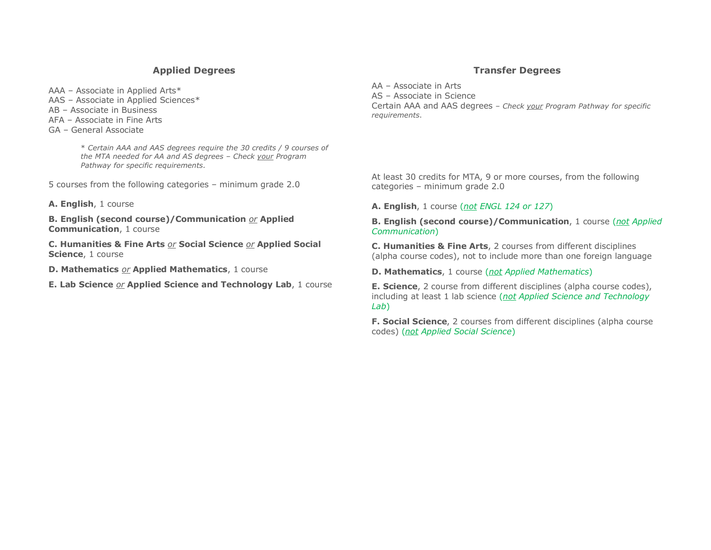#### **Applied Degrees**

AAA – Associate in Applied Arts\*

- AAS Associate in Applied Sciences\*
- AB Associate in Business
- AFA Associate in Fine Arts
- GA General Associate

 \* *Certain AAA and AAS degrees require the 30 credits / 9 courses of the MTA needed for AA and AS degrees – Check your Program Pathway for specific requirements.* 

5 courses from the following categories – minimum grade 2.0

**A. English**, 1 course

 **B. English (second course)/Communication** *or* **Applied Communication**, 1 course

 **C. Humanities & Fine Arts** *or* **Social Science** *or* **Applied Social Science**, 1 course

**D. Mathematics** *or* **Applied Mathematics**, 1 course

 **E. Lab Science** *or* **Applied Science and Technology Lab**, 1 course

#### **Transfer Degrees**

 AA – Associate in Arts AS – Associate in Science Certain AAA and AAS degrees – *Check your Program Pathway for specific requirements*.

 At least 30 credits for MTA, 9 or more courses, from the following categories – minimum grade 2.0

#### **A. English**, 1 course (*not ENGL 124 or 127*)

 **B. English (second course)/Communication**, 1 course (*not Applied Communication*)

 **C. Humanities & Fine Arts**, 2 courses from different disciplines (alpha course codes), not to include more than one foreign language

**D. Mathematics**, 1 course (*not Applied Mathematics*)

 **E. Science**, 2 course from different disciplines (alpha course codes), including at least 1 lab science (*not Applied Science and Technology Lab*)

 **F. Social Science**, 2 courses from different disciplines (alpha course  codes) (*not Applied Social Science*)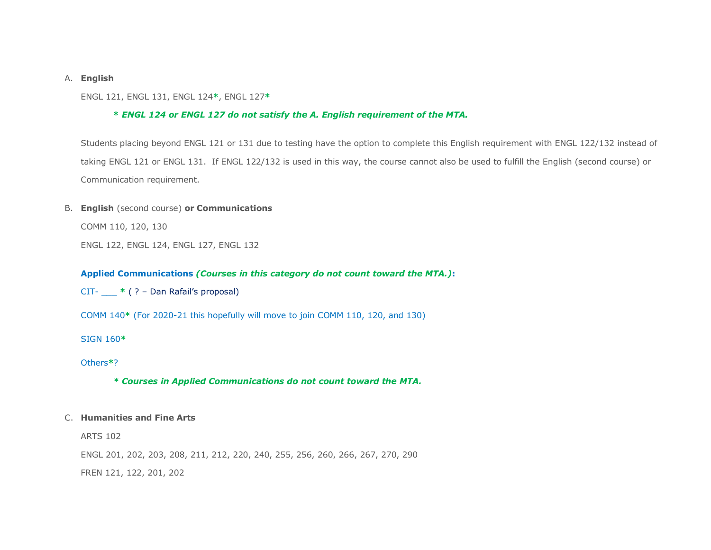#### A. **English**

ENGL 121, ENGL 131, ENGL 124**\***, ENGL 127**\*** 

#### **\*** *ENGL 124 or ENGL 127 do not satisfy the A. English requirement of the MTA.*

 Students placing beyond ENGL 121 or 131 due to testing have the option to complete this English requirement with ENGL 122/132 instead of taking ENGL 121 or ENGL 131. If ENGL 122/132 is used in this way, the course cannot also be used to fulfill the English (second course) or Communication requirement.

#### B. **English** (second course) **or Communications**

COMM 110, 120, 130

ENGL 122, ENGL 124, ENGL 127, ENGL 132

#### **Applied Communications** *(Courses in this category do not count toward the MTA.)***:**

CIT- \_\_\_ **\*** ( ? – Dan Rafail's proposal)

COMM 140**\*** (For 2020-21 this hopefully will move to join COMM 110, 120, and 130)

SIGN 160**\*** 

Others**\***?

 *\* Courses in Applied Communications do not count toward the MTA.* 

#### C. **Humanities and Fine Arts**

ARTS 102

ENGL 201, 202, 203, 208, 211, 212, 220, 240, 255, 256, 260, 266, 267, 270, 290

FREN 121, 122, 201, 202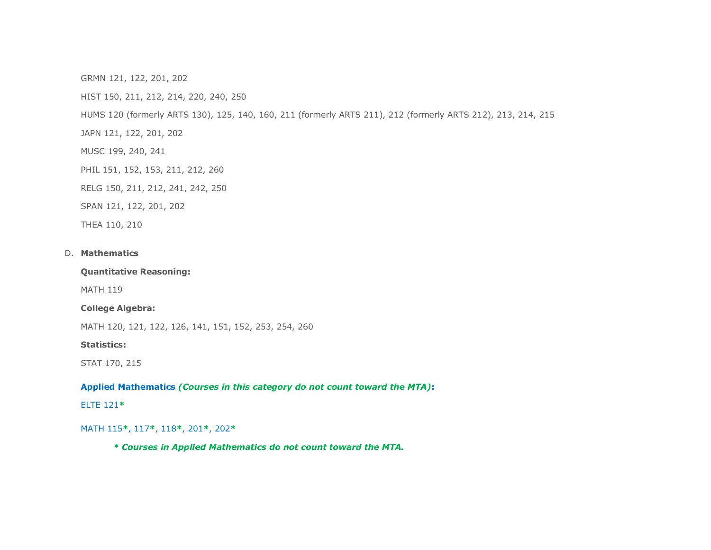GRMN 121, 122, 201, 202

HIST 150, 211, 212, 214, 220, 240, 250

HUMS 120 (formerly ARTS 130), 125, 140, 160, 211 (formerly ARTS 211), 212 (formerly ARTS 212), 213, 214, 215

JAPN 121, 122, 201, 202

MUSC 199, 240, 241

PHIL 151, 152, 153, 211, 212, 260

RELG 150, 211, 212, 241, 242, 250

SPAN 121, 122, 201, 202

THEA 110, 210

#### D. Mathematics

**Quantitative Reasoning:** 

MATH 119

**College Algebra:** 

MATH 120, 121, 122, 126, 141, 151, 152, 253, 254, 260

**Statistics:** 

STAT 170, 215

 **Applied Mathematics** *(Courses in this category do not count toward the MTA)***:** 

ELTE 121**\*** 

MATH 115**\***, 117**\***, 118**\***, 201**\***, 202**\*** 

 *\* Courses in Applied Mathematics do not count toward the MTA.*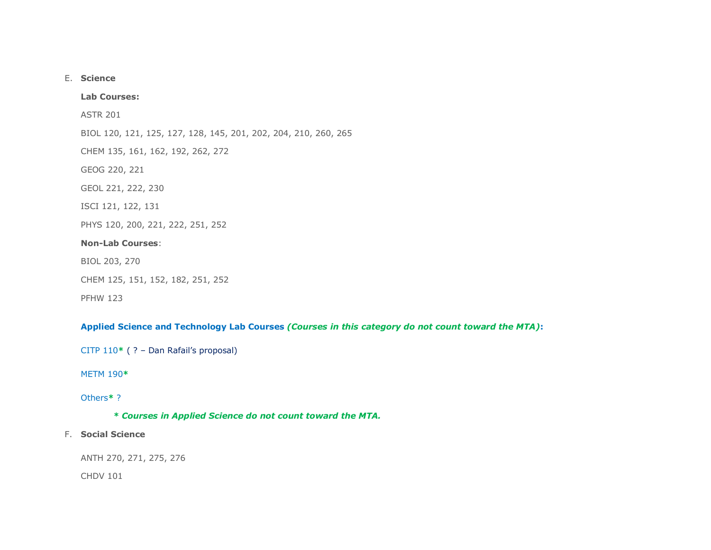#### E. **Science**

#### **Lab Courses:**

ASTR 201

BIOL 120, 121, 125, 127, 128, 145, 201, 202, 204, 210, 260, 265

CHEM 135, 161, 162, 192, 262, 272

GEOG 220, 221

GEOL 221, 222, 230

ISCI 121, 122, 131

PHYS 120, 200, 221, 222, 251, 252

# **Non-Lab Courses**:<br>BIOL 203, 270

BIOL 203, 270

```
 
CHEM 125, 151, 152, 182, 251, 252
```
PFHW 123

#### **Applied Science and Technology Lab Courses** *(Courses in this category do not count toward the MTA)***:**

CITP 110**\*** ( ? – Dan Rafail's proposal)

#### METM 190**\***

#### Others**\*** ?

 *\* Courses in Applied Science do not count toward the MTA.* 

#### F. **Social Science**

ANTH 270, 271, 275, 276

CHDV 101